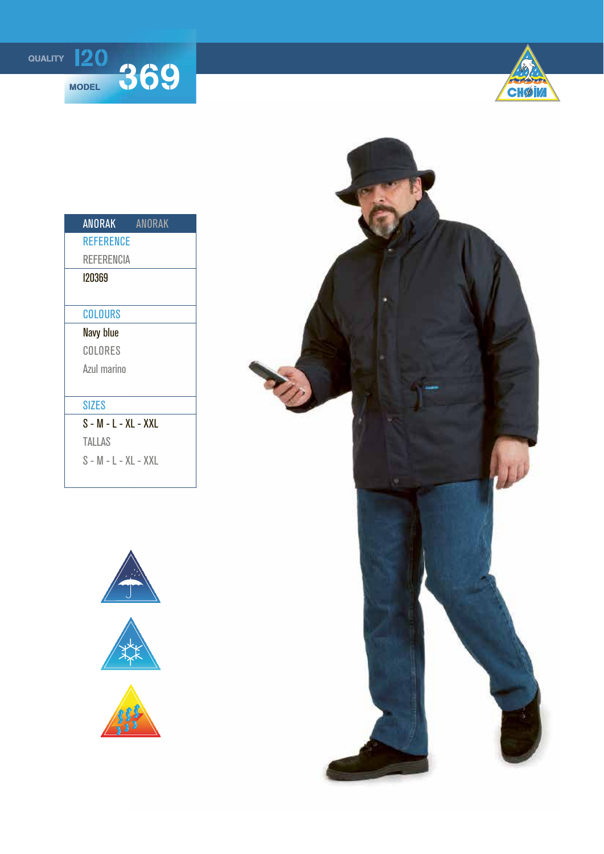**QUALITY** 120 369